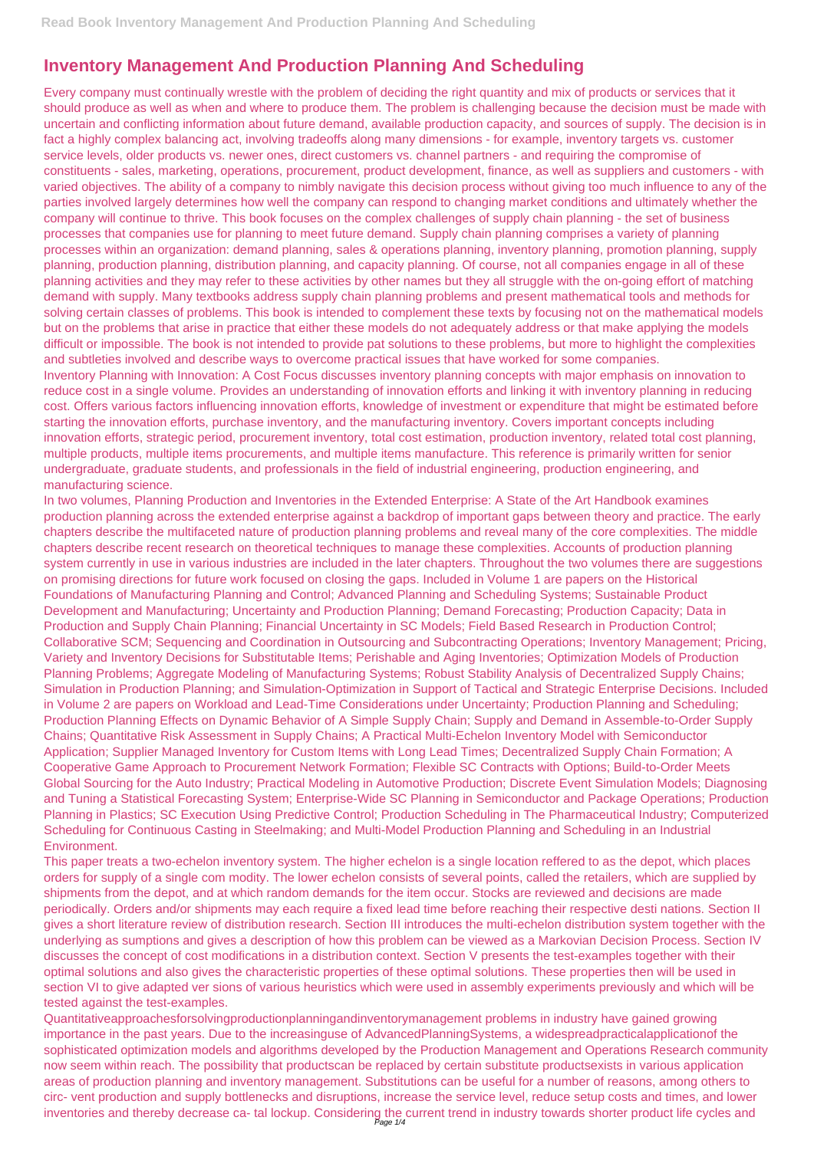## **Inventory Management And Production Planning And Scheduling**

Every company must continually wrestle with the problem of deciding the right quantity and mix of products or services that it should produce as well as when and where to produce them. The problem is challenging because the decision must be made with uncertain and conflicting information about future demand, available production capacity, and sources of supply. The decision is in fact a highly complex balancing act, involving tradeoffs along many dimensions - for example, inventory targets vs. customer service levels, older products vs. newer ones, direct customers vs. channel partners - and requiring the compromise of constituents - sales, marketing, operations, procurement, product development, finance, as well as suppliers and customers - with varied objectives. The ability of a company to nimbly navigate this decision process without giving too much influence to any of the parties involved largely determines how well the company can respond to changing market conditions and ultimately whether the company will continue to thrive. This book focuses on the complex challenges of supply chain planning - the set of business processes that companies use for planning to meet future demand. Supply chain planning comprises a variety of planning processes within an organization: demand planning, sales & operations planning, inventory planning, promotion planning, supply planning, production planning, distribution planning, and capacity planning. Of course, not all companies engage in all of these planning activities and they may refer to these activities by other names but they all struggle with the on-going effort of matching demand with supply. Many textbooks address supply chain planning problems and present mathematical tools and methods for solving certain classes of problems. This book is intended to complement these texts by focusing not on the mathematical models but on the problems that arise in practice that either these models do not adequately address or that make applying the models difficult or impossible. The book is not intended to provide pat solutions to these problems, but more to highlight the complexities and subtleties involved and describe ways to overcome practical issues that have worked for some companies. Inventory Planning with Innovation: A Cost Focus discusses inventory planning concepts with major emphasis on innovation to reduce cost in a single volume. Provides an understanding of innovation efforts and linking it with inventory planning in reducing cost. Offers various factors influencing innovation efforts, knowledge of investment or expenditure that might be estimated before starting the innovation efforts, purchase inventory, and the manufacturing inventory. Covers important concepts including innovation efforts, strategic period, procurement inventory, total cost estimation, production inventory, related total cost planning, multiple products, multiple items procurements, and multiple items manufacture. This reference is primarily written for senior undergraduate, graduate students, and professionals in the field of industrial engineering, production engineering, and manufacturing science.

Quantitativeapproachesforsolvingproductionplanningandinventorymanagement problems in industry have gained growing importance in the past years. Due to the increasinguse of AdvancedPlanningSystems, a widespreadpracticalapplicationof the sophisticated optimization models and algorithms developed by the Production Management and Operations Research community now seem within reach. The possibility that productscan be replaced by certain substitute productsexists in various application areas of production planning and inventory management. Substitutions can be useful for a number of reasons, among others to circ- vent production and supply bottlenecks and disruptions, increase the service level, reduce setup costs and times, and lower inventories and thereby decrease ca- tal lockup. Considering the current trend in industry towards shorter product life cycles and<br>Page 1/4

In two volumes, Planning Production and Inventories in the Extended Enterprise: A State of the Art Handbook examines production planning across the extended enterprise against a backdrop of important gaps between theory and practice. The early chapters describe the multifaceted nature of production planning problems and reveal many of the core complexities. The middle chapters describe recent research on theoretical techniques to manage these complexities. Accounts of production planning system currently in use in various industries are included in the later chapters. Throughout the two volumes there are suggestions on promising directions for future work focused on closing the gaps. Included in Volume 1 are papers on the Historical Foundations of Manufacturing Planning and Control; Advanced Planning and Scheduling Systems; Sustainable Product Development and Manufacturing; Uncertainty and Production Planning; Demand Forecasting; Production Capacity; Data in Production and Supply Chain Planning; Financial Uncertainty in SC Models; Field Based Research in Production Control; Collaborative SCM; Sequencing and Coordination in Outsourcing and Subcontracting Operations; Inventory Management; Pricing, Variety and Inventory Decisions for Substitutable Items; Perishable and Aging Inventories; Optimization Models of Production Planning Problems; Aggregate Modeling of Manufacturing Systems; Robust Stability Analysis of Decentralized Supply Chains; Simulation in Production Planning; and Simulation-Optimization in Support of Tactical and Strategic Enterprise Decisions. Included in Volume 2 are papers on Workload and Lead-Time Considerations under Uncertainty; Production Planning and Scheduling; Production Planning Effects on Dynamic Behavior of A Simple Supply Chain; Supply and Demand in Assemble-to-Order Supply Chains; Quantitative Risk Assessment in Supply Chains; A Practical Multi-Echelon Inventory Model with Semiconductor Application; Supplier Managed Inventory for Custom Items with Long Lead Times; Decentralized Supply Chain Formation; A Cooperative Game Approach to Procurement Network Formation; Flexible SC Contracts with Options; Build-to-Order Meets Global Sourcing for the Auto Industry; Practical Modeling in Automotive Production; Discrete Event Simulation Models; Diagnosing and Tuning a Statistical Forecasting System; Enterprise-Wide SC Planning in Semiconductor and Package Operations; Production Planning in Plastics; SC Execution Using Predictive Control; Production Scheduling in The Pharmaceutical Industry; Computerized Scheduling for Continuous Casting in Steelmaking; and Multi-Model Production Planning and Scheduling in an Industrial Environment.

This paper treats a two-echelon inventory system. The higher echelon is a single location reffered to as the depot, which places

orders for supply of a single com modity. The lower echelon consists of several points, called the retailers, which are supplied by shipments from the depot, and at which random demands for the item occur. Stocks are reviewed and decisions are made periodically. Orders and/or shipments may each require a fixed lead time before reaching their respective desti nations. Section II gives a short literature review of distribution research. Section III introduces the multi-echelon distribution system together with the underlying as sumptions and gives a description of how this problem can be viewed as a Markovian Decision Process. Section IV discusses the concept of cost modifications in a distribution context. Section V presents the test-examples together with their optimal solutions and also gives the characteristic properties of these optimal solutions. These properties then will be used in section VI to give adapted ver sions of various heuristics which were used in assembly experiments previously and which will be tested against the test-examples.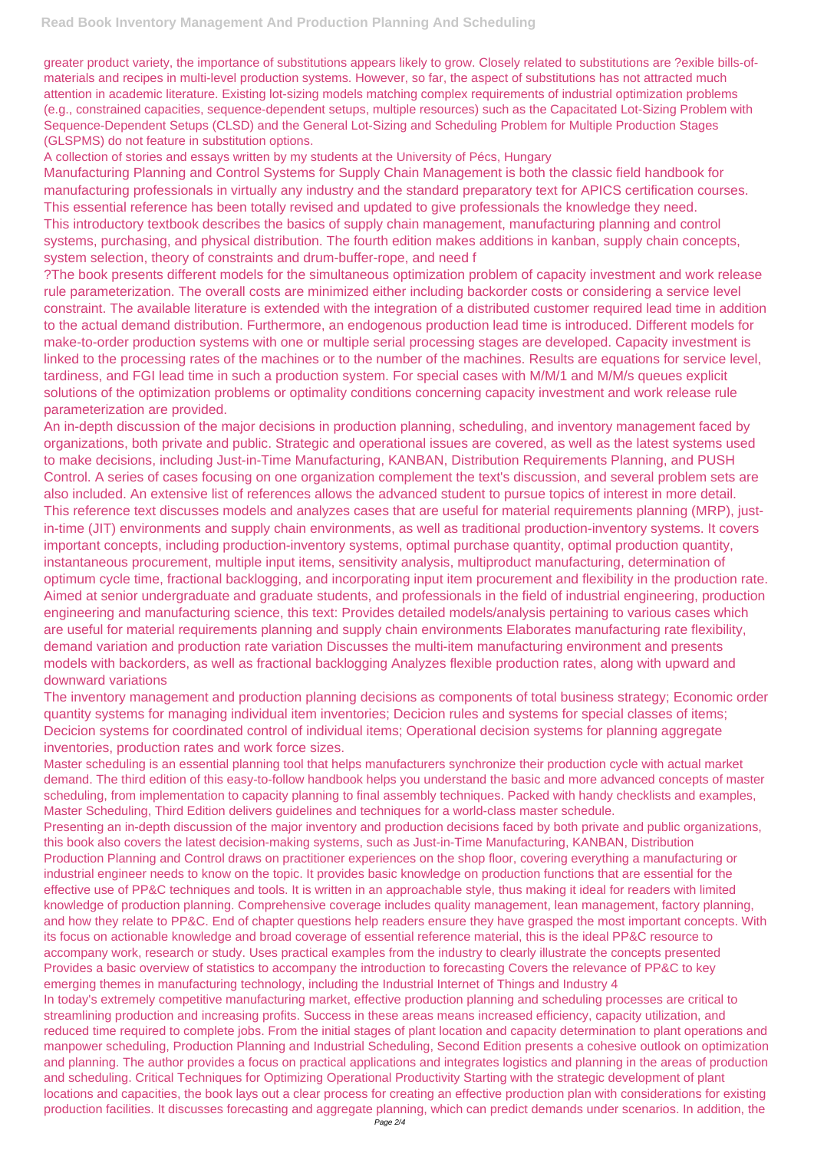greater product variety, the importance of substitutions appears likely to grow. Closely related to substitutions are ?exible bills-ofmaterials and recipes in multi-level production systems. However, so far, the aspect of substitutions has not attracted much attention in academic literature. Existing lot-sizing models matching complex requirements of industrial optimization problems (e.g., constrained capacities, sequence-dependent setups, multiple resources) such as the Capacitated Lot-Sizing Problem with Sequence-Dependent Setups (CLSD) and the General Lot-Sizing and Scheduling Problem for Multiple Production Stages (GLSPMS) do not feature in substitution options.

A collection of stories and essays written by my students at the University of Pécs, Hungary

Manufacturing Planning and Control Systems for Supply Chain Management is both the classic field handbook for manufacturing professionals in virtually any industry and the standard preparatory text for APICS certification courses. This essential reference has been totally revised and updated to give professionals the knowledge they need. This introductory textbook describes the basics of supply chain management, manufacturing planning and control systems, purchasing, and physical distribution. The fourth edition makes additions in kanban, supply chain concepts, system selection, theory of constraints and drum-buffer-rope, and need f

?The book presents different models for the simultaneous optimization problem of capacity investment and work release rule parameterization. The overall costs are minimized either including backorder costs or considering a service level constraint. The available literature is extended with the integration of a distributed customer required lead time in addition to the actual demand distribution. Furthermore, an endogenous production lead time is introduced. Different models for make-to-order production systems with one or multiple serial processing stages are developed. Capacity investment is linked to the processing rates of the machines or to the number of the machines. Results are equations for service level, tardiness, and FGI lead time in such a production system. For special cases with M/M/1 and M/M/s queues explicit solutions of the optimization problems or optimality conditions concerning capacity investment and work release rule parameterization are provided.

An in-depth discussion of the major decisions in production planning, scheduling, and inventory management faced by organizations, both private and public. Strategic and operational issues are covered, as well as the latest systems used to make decisions, including Just-in-Time Manufacturing, KANBAN, Distribution Requirements Planning, and PUSH Control. A series of cases focusing on one organization complement the text's discussion, and several problem sets are also included. An extensive list of references allows the advanced student to pursue topics of interest in more detail. This reference text discusses models and analyzes cases that are useful for material requirements planning (MRP), justin-time (JIT) environments and supply chain environments, as well as traditional production-inventory systems. It covers important concepts, including production-inventory systems, optimal purchase quantity, optimal production quantity, instantaneous procurement, multiple input items, sensitivity analysis, multiproduct manufacturing, determination of optimum cycle time, fractional backlogging, and incorporating input item procurement and flexibility in the production rate. Aimed at senior undergraduate and graduate students, and professionals in the field of industrial engineering, production engineering and manufacturing science, this text: Provides detailed models/analysis pertaining to various cases which are useful for material requirements planning and supply chain environments Elaborates manufacturing rate flexibility, demand variation and production rate variation Discusses the multi-item manufacturing environment and presents models with backorders, as well as fractional backlogging Analyzes flexible production rates, along with upward and downward variations

The inventory management and production planning decisions as components of total business strategy; Economic order quantity systems for managing individual item inventories; Decicion rules and systems for special classes of items; Decicion systems for coordinated control of individual items; Operational decision systems for planning aggregate inventories, production rates and work force sizes.

Master scheduling is an essential planning tool that helps manufacturers synchronize their production cycle with actual market demand. The third edition of this easy-to-follow handbook helps you understand the basic and more advanced concepts of master scheduling, from implementation to capacity planning to final assembly techniques. Packed with handy checklists and examples, Master Scheduling, Third Edition delivers guidelines and techniques for a world-class master schedule.

Presenting an in-depth discussion of the major inventory and production decisions faced by both private and public organizations, this book also covers the latest decision-making systems, such as Just-in-Time Manufacturing, KANBAN, Distribution Production Planning and Control draws on practitioner experiences on the shop floor, covering everything a manufacturing or

industrial engineer needs to know on the topic. It provides basic knowledge on production functions that are essential for the effective use of PP&C techniques and tools. It is written in an approachable style, thus making it ideal for readers with limited knowledge of production planning. Comprehensive coverage includes quality management, lean management, factory planning, and how they relate to PP&C. End of chapter questions help readers ensure they have grasped the most important concepts. With its focus on actionable knowledge and broad coverage of essential reference material, this is the ideal PP&C resource to accompany work, research or study. Uses practical examples from the industry to clearly illustrate the concepts presented Provides a basic overview of statistics to accompany the introduction to forecasting Covers the relevance of PP&C to key emerging themes in manufacturing technology, including the Industrial Internet of Things and Industry 4 In today's extremely competitive manufacturing market, effective production planning and scheduling processes are critical to streamlining production and increasing profits. Success in these areas means increased efficiency, capacity utilization, and reduced time required to complete jobs. From the initial stages of plant location and capacity determination to plant operations and manpower scheduling, Production Planning and Industrial Scheduling, Second Edition presents a cohesive outlook on optimization and planning. The author provides a focus on practical applications and integrates logistics and planning in the areas of production and scheduling. Critical Techniques for Optimizing Operational Productivity Starting with the strategic development of plant locations and capacities, the book lays out a clear process for creating an effective production plan with considerations for existing production facilities. It discusses forecasting and aggregate planning, which can predict demands under scenarios. In addition, the Page 2/4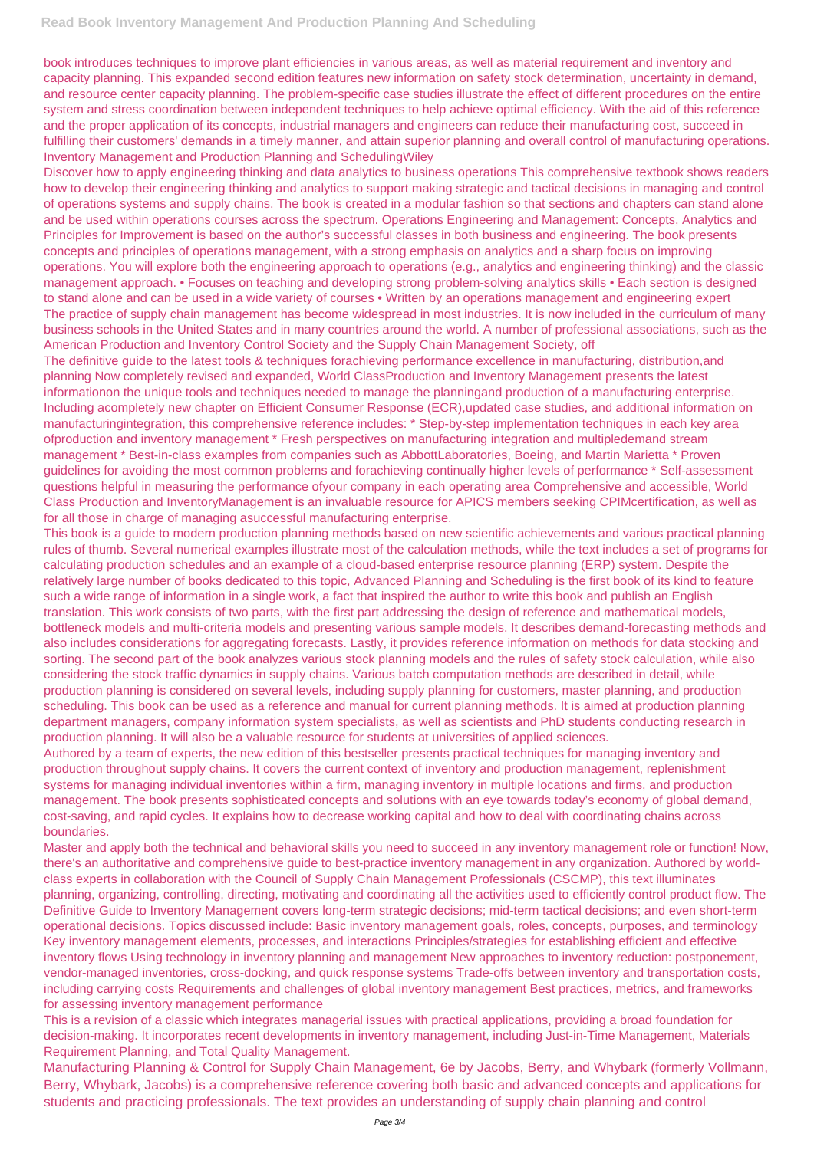book introduces techniques to improve plant efficiencies in various areas, as well as material requirement and inventory and capacity planning. This expanded second edition features new information on safety stock determination, uncertainty in demand, and resource center capacity planning. The problem-specific case studies illustrate the effect of different procedures on the entire system and stress coordination between independent techniques to help achieve optimal efficiency. With the aid of this reference and the proper application of its concepts, industrial managers and engineers can reduce their manufacturing cost, succeed in fulfilling their customers' demands in a timely manner, and attain superior planning and overall control of manufacturing operations. Inventory Management and Production Planning and SchedulingWiley

Discover how to apply engineering thinking and data analytics to business operations This comprehensive textbook shows readers how to develop their engineering thinking and analytics to support making strategic and tactical decisions in managing and control of operations systems and supply chains. The book is created in a modular fashion so that sections and chapters can stand alone and be used within operations courses across the spectrum. Operations Engineering and Management: Concepts, Analytics and Principles for Improvement is based on the author's successful classes in both business and engineering. The book presents concepts and principles of operations management, with a strong emphasis on analytics and a sharp focus on improving operations. You will explore both the engineering approach to operations (e.g., analytics and engineering thinking) and the classic management approach. • Focuses on teaching and developing strong problem-solving analytics skills • Each section is designed to stand alone and can be used in a wide variety of courses • Written by an operations management and engineering expert The practice of supply chain management has become widespread in most industries. It is now included in the curriculum of many business schools in the United States and in many countries around the world. A number of professional associations, such as the American Production and Inventory Control Society and the Supply Chain Management Society, off

The definitive guide to the latest tools & techniques forachieving performance excellence in manufacturing, distribution,and planning Now completely revised and expanded, World ClassProduction and Inventory Management presents the latest informationon the unique tools and techniques needed to manage the planningand production of a manufacturing enterprise. Including acompletely new chapter on Efficient Consumer Response (ECR),updated case studies, and additional information on manufacturingintegration, this comprehensive reference includes: \* Step-by-step implementation techniques in each key area ofproduction and inventory management \* Fresh perspectives on manufacturing integration and multipledemand stream management \* Best-in-class examples from companies such as AbbottLaboratories, Boeing, and Martin Marietta \* Proven guidelines for avoiding the most common problems and forachieving continually higher levels of performance \* Self-assessment questions helpful in measuring the performance ofyour company in each operating area Comprehensive and accessible, World Class Production and InventoryManagement is an invaluable resource for APICS members seeking CPIMcertification, as well as for all those in charge of managing asuccessful manufacturing enterprise.

This book is a guide to modern production planning methods based on new scientific achievements and various practical planning rules of thumb. Several numerical examples illustrate most of the calculation methods, while the text includes a set of programs for calculating production schedules and an example of a cloud-based enterprise resource planning (ERP) system. Despite the relatively large number of books dedicated to this topic, Advanced Planning and Scheduling is the first book of its kind to feature such a wide range of information in a single work, a fact that inspired the author to write this book and publish an English translation. This work consists of two parts, with the first part addressing the design of reference and mathematical models, bottleneck models and multi-criteria models and presenting various sample models. It describes demand-forecasting methods and also includes considerations for aggregating forecasts. Lastly, it provides reference information on methods for data stocking and sorting. The second part of the book analyzes various stock planning models and the rules of safety stock calculation, while also considering the stock traffic dynamics in supply chains. Various batch computation methods are described in detail, while production planning is considered on several levels, including supply planning for customers, master planning, and production scheduling. This book can be used as a reference and manual for current planning methods. It is aimed at production planning department managers, company information system specialists, as well as scientists and PhD students conducting research in production planning. It will also be a valuable resource for students at universities of applied sciences.

Authored by a team of experts, the new edition of this bestseller presents practical techniques for managing inventory and production throughout supply chains. It covers the current context of inventory and production management, replenishment systems for managing individual inventories within a firm, managing inventory in multiple locations and firms, and production management. The book presents sophisticated concepts and solutions with an eye towards today's economy of global demand, cost-saving, and rapid cycles. It explains how to decrease working capital and how to deal with coordinating chains across boundaries.

Master and apply both the technical and behavioral skills you need to succeed in any inventory management role or function! Now, there's an authoritative and comprehensive guide to best-practice inventory management in any organization. Authored by worldclass experts in collaboration with the Council of Supply Chain Management Professionals (CSCMP), this text illuminates planning, organizing, controlling, directing, motivating and coordinating all the activities used to efficiently control product flow. The Definitive Guide to Inventory Management covers long-term strategic decisions; mid-term tactical decisions; and even short-term operational decisions. Topics discussed include: Basic inventory management goals, roles, concepts, purposes, and terminology Key inventory management elements, processes, and interactions Principles/strategies for establishing efficient and effective inventory flows Using technology in inventory planning and management New approaches to inventory reduction: postponement, vendor-managed inventories, cross-docking, and quick response systems Trade-offs between inventory and transportation costs, including carrying costs Requirements and challenges of global inventory management Best practices, metrics, and frameworks for assessing inventory management performance This is a revision of a classic which integrates managerial issues with practical applications, providing a broad foundation for decision-making. It incorporates recent developments in inventory management, including Just-in-Time Management, Materials Requirement Planning, and Total Quality Management. Manufacturing Planning & Control for Supply Chain Management, 6e by Jacobs, Berry, and Whybark (formerly Vollmann, Berry, Whybark, Jacobs) is a comprehensive reference covering both basic and advanced concepts and applications for students and practicing professionals. The text provides an understanding of supply chain planning and control